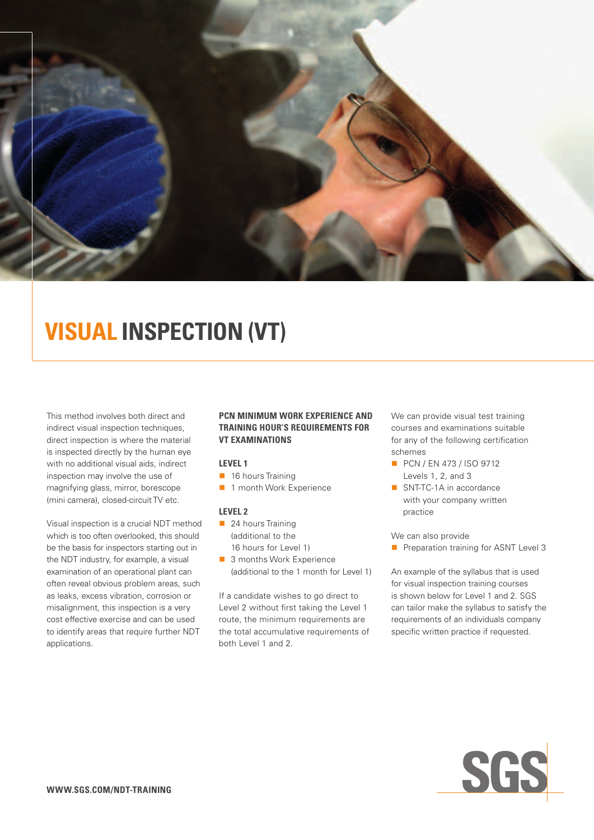

# **Visual Inspection (VT)**

This method involves both direct and indirect visual inspection techniques, direct inspection is where the material is inspected directly by the human eye with no additional visual aids, indirect inspection may involve the use of magnifying glass, mirror, borescope (mini camera), closed-circuit TV etc.

Visual inspection is a crucial NDT method which is too often overlooked, this should be the basis for inspectors starting out in the NDT industry, for example, a visual examination of an operational plant can often reveal obvious problem areas, such as leaks, excess vibration, corrosion or misalignment, this inspection is a very cost effective exercise and can be used to identify areas that require further NDT applications.

### **PCN minimum work experience and training hour's requirements for VT examinations**

### **Level 1**

- $\blacksquare$  16 hours Training
- n 1 month Work Experience

### **Level 2**

- $\blacksquare$  24 hours Training (additional to the 16 hours for Level 1)
- 3 months Work Experience (additional to the 1 month for Level 1)

If a candidate wishes to go direct to Level 2 without first taking the Level 1 route, the minimum requirements are the total accumulative requirements of both Level 1 and 2.

We can provide visual test training courses and examinations suitable for any of the following certification schemes

- **PCN / EN 473 / ISO 9712** Levels 1, 2, and 3
- SNT-TC-1A in accordance with your company written practice

We can also provide

**n** Preparation training for ASNT Level 3

An example of the syllabus that is used for visual inspection training courses is shown below for Level 1 and 2. SGS can tailor make the syllabus to satisfy the requirements of an individuals company specific written practice if requested.